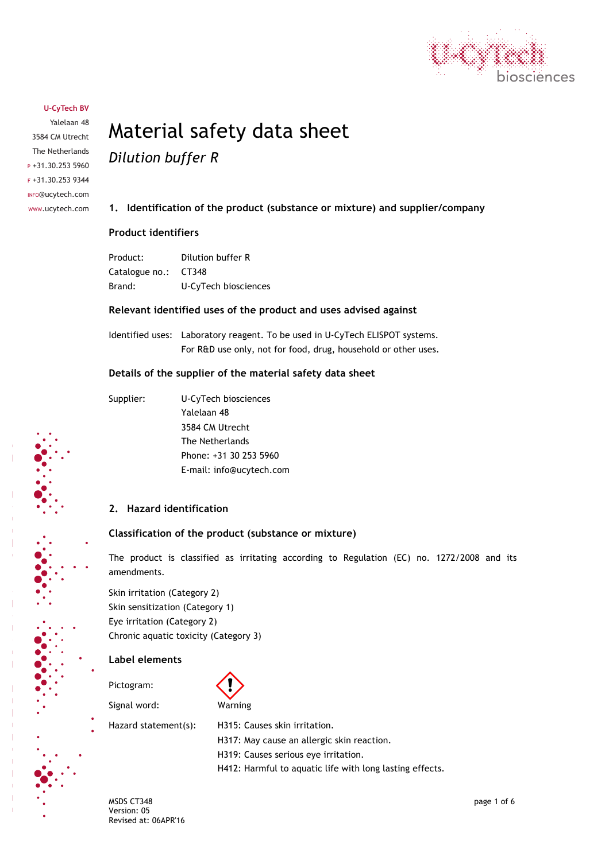

Yalelaan 48 3584 CM Utrecht The Netherlands  $P +31.30.2535960$ F +31.30.253 9344 INFO@ucytech.com www.ucytech.com

# Material safety data sheet *Dilution buffer R*

# **1. Identification of the product (substance or mixture) and supplier/company**

## **Product identifiers**

| Product:             | Dilution buffer R    |
|----------------------|----------------------|
| Catalogue no.: CT348 |                      |
| Brand:               | U-CyTech biosciences |

## **Relevant identified uses of the product and uses advised against**

Identified uses: Laboratory reagent. To be used in U-CyTech ELISPOT systems. For R&D use only, not for food, drug, household or other uses.

## **Details of the supplier of the material safety data sheet**

Supplier: U-CyTech biosciences Yalelaan 48 3584 CM Utrecht The Netherlands Phone: +31 30 253 5960 E-mail: info@ucytech.com

# **2. Hazard identification**

## **Classification of the product (substance or mixture)**

The product is classified as irritating according to Regulation (EC) no. 1272/2008 and its amendments.

Skin irritation (Category 2) Skin sensitization (Category 1) Eye irritation (Category 2) Chronic aquatic toxicity (Category 3)

#### **Label elements**

Pictogram:

Signal word: Warning



Hazard statement(s): H315: Causes skin irritation. H317: May cause an allergic skin reaction. H319: Causes serious eye irritation. H412: Harmful to aquatic life with long lasting effects.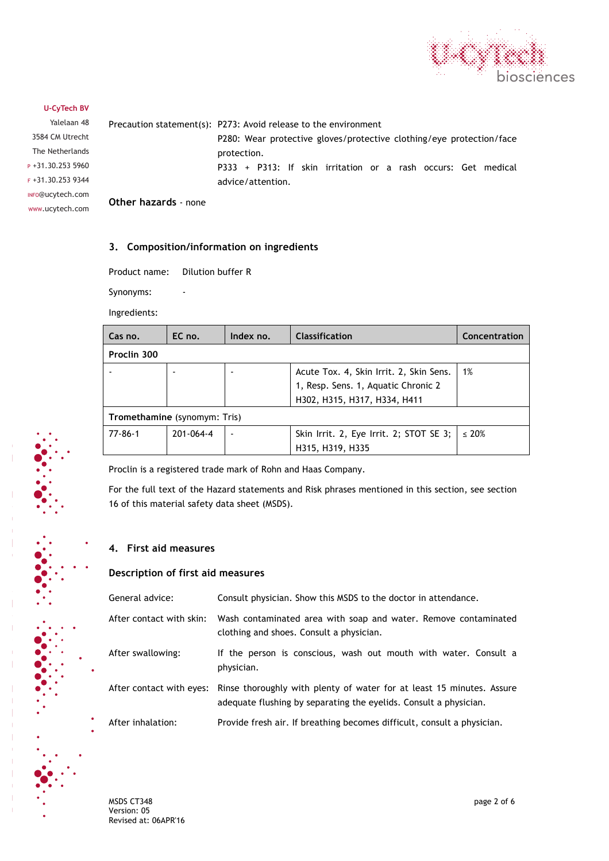

Yalelaan 48 3584 CM Utrecht The Netherlands  $P +31.30.2535960$ F +31.30.253 9344 INFO@ucytech.com www.ucytech.com Precaution statement(s): P273: Avoid release to the environment P280: Wear protective gloves/protective clothing/eye protection/face protection. P333 + P313: If skin irritation or a rash occurs: Get medical advice/attention. **Other hazards** - none

## **3. Composition/information on ingredients**

Product name: Dilution buffer R

Synonyms:

Ingredients:

| Cas no.                      | EC no.    | Index no. | Classification                          | Concentration |
|------------------------------|-----------|-----------|-----------------------------------------|---------------|
| Proclin 300                  |           |           |                                         |               |
|                              |           |           | Acute Tox. 4, Skin Irrit. 2, Skin Sens. | 1%            |
|                              |           |           | 1, Resp. Sens. 1, Aquatic Chronic 2     |               |
|                              |           |           | H302, H315, H317, H334, H411            |               |
| Tromethamine (synomym: Tris) |           |           |                                         |               |
| $77 - 86 - 1$                | 201-064-4 |           | Skin Irrit. 2, Eye Irrit. 2; STOT SE 3; | $\leq 20\%$   |
|                              |           |           | H315, H319, H335                        |               |

Proclin is a registered trade mark of Rohn and Haas Company.

For the full text of the Hazard statements and Risk phrases mentioned in this section, see section 16 of this material safety data sheet (MSDS).

#### **4. First aid measures**

## **Description of first aid measures**

| General advice:          | Consult physician. Show this MSDS to the doctor in attendance.                                                                                                      |
|--------------------------|---------------------------------------------------------------------------------------------------------------------------------------------------------------------|
| After contact with skin: | Wash contaminated area with soap and water. Remove contaminated<br>clothing and shoes. Consult a physician.                                                         |
| After swallowing:        | If the person is conscious, wash out mouth with water. Consult a<br>physician.                                                                                      |
|                          | After contact with eyes: Rinse thoroughly with plenty of water for at least 15 minutes. Assure<br>adequate flushing by separating the eyelids. Consult a physician. |
| After inhalation:        | Provide fresh air. If breathing becomes difficult, consult a physician.                                                                                             |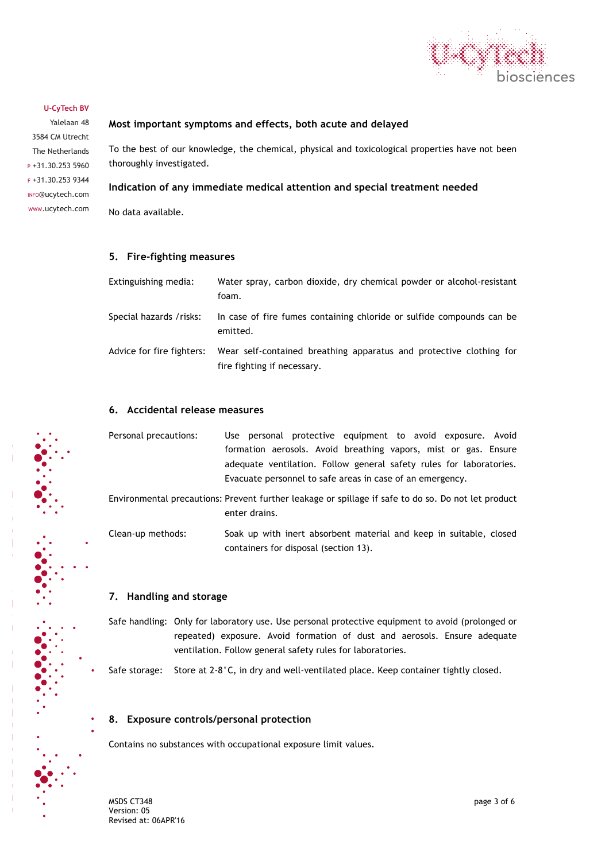

Yalelaan 48 3584 CM Utrecht The Netherlands  $P +31.30.2535960$ F +31.30.253 9344 INFO@ucytech.com www.ucytech.com

## **Most important symptoms and effects, both acute and delayed**

To the best of our knowledge, the chemical, physical and toxicological properties have not been thoroughly investigated.

## **Indication of any immediate medical attention and special treatment needed**

No data available.

## **5. Fire-fighting measures**

| Extinguishing media:      | Water spray, carbon dioxide, dry chemical powder or alcohol-resistant<br>foam.                     |
|---------------------------|----------------------------------------------------------------------------------------------------|
| Special hazards / risks:  | In case of fire fumes containing chloride or sulfide compounds can be<br>emitted.                  |
| Advice for fire fighters: | Wear self-contained breathing apparatus and protective clothing for<br>fire fighting if necessary. |

## **6. Accidental release measures**

| Personal precautions: | Use personal protective equipment to avoid exposure. Avoid                                          |
|-----------------------|-----------------------------------------------------------------------------------------------------|
|                       | formation aerosols. Avoid breathing vapors, mist or gas. Ensure                                     |
|                       | adequate ventilation. Follow general safety rules for laboratories.                                 |
|                       | Evacuate personnel to safe areas in case of an emergency.                                           |
|                       | Environmental precautions: Prevent further leakage or spillage if safe to do so. Do not let product |
|                       | enter drains.                                                                                       |

Clean-up methods: Soak up with inert absorbent material and keep in suitable, closed containers for disposal (section 13).

## **7. Handling and storage**

Safe handling: Only for laboratory use. Use personal protective equipment to avoid (prolonged or repeated) exposure. Avoid formation of dust and aerosols. Ensure adequate ventilation. Follow general safety rules for laboratories.

Safe storage: Store at  $2-8^{\circ}$ C, in dry and well-ventilated place. Keep container tightly closed.

#### **8. Exposure controls/personal protection**

Contains no substances with occupational exposure limit values.

MSDS CT348 page 3 of 6 Version: 05 Revised at: 06APR'16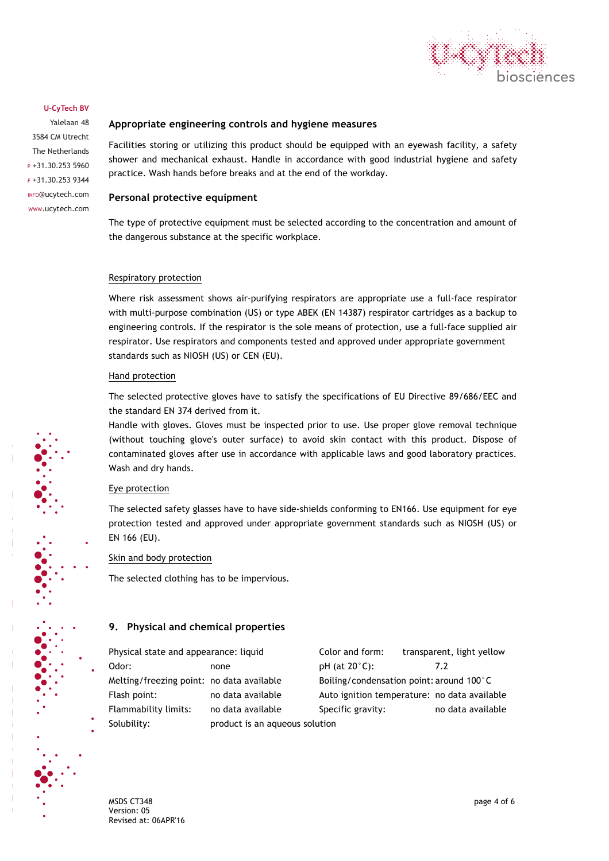

Yalelaan 48 3584 CM Utrecht The Netherlands P +31.30.253 5960 F +31.30.253 9344 INFO@ucytech.com www.ucytech.com

## **Appropriate engineering controls and hygiene measures**

Facilities storing or utilizing this product should be equipped with an eyewash facility, a safety shower and mechanical exhaust. Handle in accordance with good industrial hygiene and safety practice. Wash hands before breaks and at the end of the workday.

## **Personal protective equipment**

The type of protective equipment must be selected according to the concentration and amount of the dangerous substance at the specific workplace.

#### Respiratory protection

Where risk assessment shows air-purifying respirators are appropriate use a full-face respirator with multi-purpose combination (US) or type ABEK (EN 14387) respirator cartridges as a backup to engineering controls. If the respirator is the sole means of protection, use a full-face supplied air respirator. Use respirators and components tested and approved under appropriate government standards such as NIOSH (US) or CEN (EU).

#### Hand protection

The selected protective gloves have to satisfy the specifications of EU Directive 89/686/EEC and the standard EN 374 derived from it.

Handle with gloves. Gloves must be inspected prior to use. Use proper glove removal technique (without touching glove's outer surface) to avoid skin contact with this product. Dispose of contaminated gloves after use in accordance with applicable laws and good laboratory practices. Wash and dry hands.

#### Eye protection

The selected safety glasses have to have side-shields conforming to EN166. Use equipment for eye protection tested and approved under appropriate government standards such as NIOSH (US) or EN 166 (EU).

Skin and body protection

The selected clothing has to be impervious.

## **9. Physical and chemical properties**

| Physical state and appearance: liquid     |                                | Color and form:                              | transparent, light yellow |
|-------------------------------------------|--------------------------------|----------------------------------------------|---------------------------|
| Odor:                                     | none                           | $pH$ (at 20 $°C$ ):                          | 7.2                       |
| Melting/freezing point: no data available |                                | Boiling/condensation point: around 100°C     |                           |
| Flash point:                              | no data available              | Auto ignition temperature: no data available |                           |
| Flammability limits:                      | no data available              | Specific gravity:                            | no data available         |
| Solubility:                               | product is an aqueous solution |                                              |                           |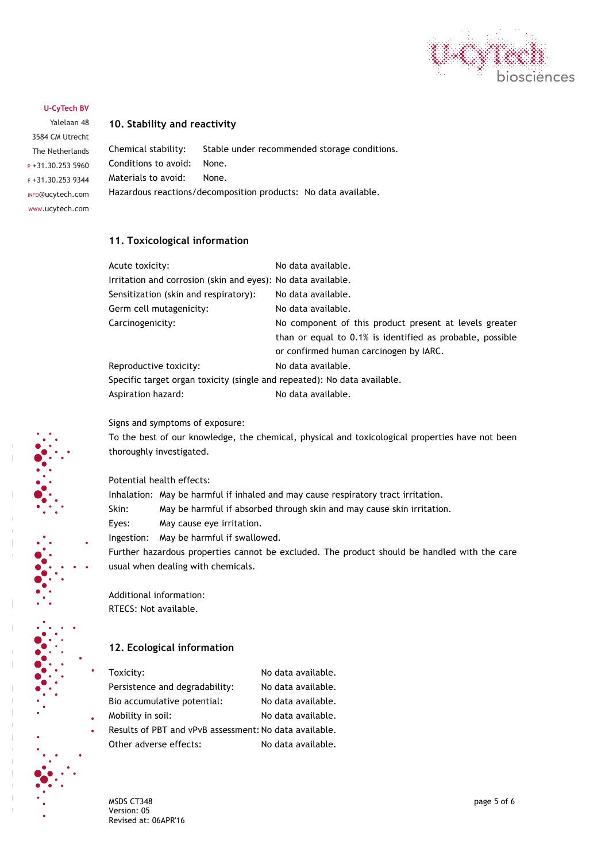

Yalelaan 48 3584 CM Utrecht The Netherlands  $P +31.30.2535960$ F +31.30.253 9344 INFO@ucytech.com www.ucytech.com

## **10. Stability and reactivity**

Chemical stability: Stable under recommended storage conditions. Conditions to avoid: None. Materials to avoid: None. Hazardous reactions/decomposition products: No data available.

## **11. Toxicological information**

| Acute toxicity:                                                          | No data available.                                        |  |
|--------------------------------------------------------------------------|-----------------------------------------------------------|--|
| Irritation and corrosion (skin and eyes): No data available.             |                                                           |  |
| Sensitization (skin and respiratory):                                    | No data available.                                        |  |
| Germ cell mutagenicity:                                                  | No data available.                                        |  |
| Carcinogenicity:                                                         | No component of this product present at levels greater    |  |
|                                                                          | than or equal to 0.1% is identified as probable, possible |  |
|                                                                          | or confirmed human carcinogen by IARC.                    |  |
| Reproductive toxicity:                                                   | No data available.                                        |  |
| Specific target organ toxicity (single and repeated): No data available. |                                                           |  |
| Aspiration hazard:                                                       | No data available.                                        |  |

Signs and symptoms of exposure:

To the best of our knowledge, the chemical, physical and toxicological properties have not been thoroughly investigated.

## Potential health effects:

Inhalation: May be harmful if inhaled and may cause respiratory tract irritation.

Skin: May be harmful if absorbed through skin and may cause skin irritation.

Eyes: May cause eye irritation.

Ingestion: May be harmful if swallowed.

Further hazardous properties cannot be excluded. The product should be handled with the care usual when dealing with chemicals.

Additional information: RTECS: Not available.

# **12. Ecological information**

| Toxicity:                                              | No data available. |
|--------------------------------------------------------|--------------------|
| Persistence and degradability:                         | No data available. |
| Bio accumulative potential:                            | No data available. |
| Mobility in soil:                                      | No data available. |
| Results of PBT and vPvB assessment: No data available. |                    |
| Other adverse effects:                                 | No data available. |
|                                                        |                    |

MSDS CT348 page 5 of 6 Version: 05 Revised at: 06APR'16